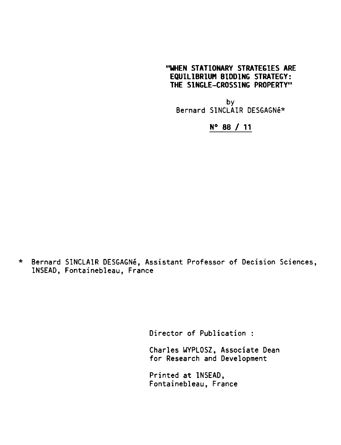# "WHEN STATIONARY STRATEGIES ARE EQUILIBRIUM BIDDING STRATEGY: THE SINGLE—CROSSING PROPERTY"

by Bernard SINCLAIR DESGAGN8\*

# N° 88 / 11

\* Bernard SINCLAIR DESGAGNe, Assistant Professor of Decision Sciences, INSEAD, Fontainebleau, France

Director of Publication :

Charles WYPLOSZ, Associate Dean for Research and Development

Printed at INSEAD, Fontainebleau, France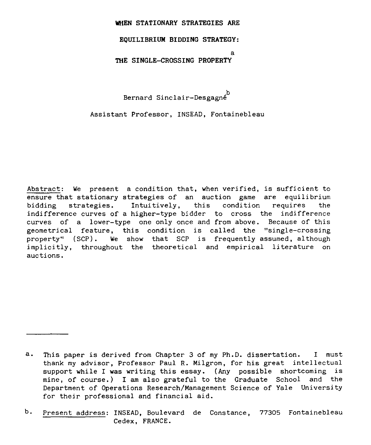#### **WHEN STATIONARY STRATEGIES ARE**

## **EQUILIBRIUM BIDDING STRATEGY:**

**a**

## **THE SINGLE-CROSSING PROPERTY**

b Bernard Sinclair-Desgagne

Assistant Professor, INSEAD, Fontainebleau

Abstract: We present a condition that, when verified, is sufficient to ensure that stationary strategies *of an* auction game are equilibrium bidding strategies. Intuitively, this condition requires the indifference curves of a higher-type bidder to cross the indifference curves of a lower-type one only once and from above. Because of this geometrical feature, this condition is called the "single-crossing property" (SCP). We show that SCP is frequently assumed, although implicitly, throughout the theoretical and empirical literature on auctions.

a. This paper is derived from Chapter 3 of my Ph.D. dissertation. I must thank my advisor, Professor Paul R. Milgrom, for his great intellectual support while I was writing this essay. (Any possible shortcoming is mine, of course.) I am also grateful to the Graduate School and the Department of Operations Research/Management Science of Yale University for their professional and financial aid.

b. Present address: INSEAD, Boulevard de Constance, 77305 Fontainebleau Cedex, FRANCE.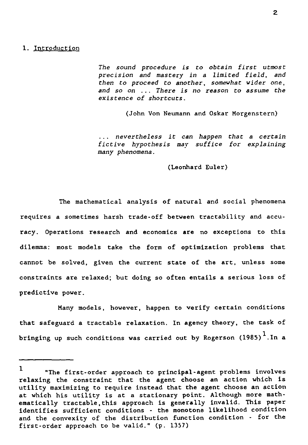#### 1. Introduction

*The sound procedure is to obtain first utmost precision and mastery in a limited field, and then to proceed to another, somewhat wider one, and so on ... There is no reason to assume the existence of shortcuts.*

(John Von Neumann and Oskar Morgenstern)

... *nevertheless it can happen* that a *certain fictive hypothesis may suffice for explaining many phenomena.*

(Leonhard Euler)

The mathematical analysis of natural and social phenomena requires a sometimes harsh trade-off between tractability and accuracy. Operations research and economics are no exceptions to this dilemma: most models take the form of optimization problems that cannot be solved, given the current state of the art, unless some constraints are relaxed; but doing so often entails a serious loss of predictive power.

Many models, however, happen to verify certain conditions that safeguard a tractable relaxation. In agency theory, the task of bringing up such conditions was carried out by Rogerson (1985) $^\mathsf{L}$ .In a

<sup>1</sup> "The first-order approach to principal-agent problems involves relaxing the constraint that the agent choose an action which is utility maximizing to require instead that the agent choose an action at which his utility is at a stationary point. Although more mathematically tractable,this approach is generally invalid. This paper identifies sufficient conditions - the monotone likelihood condition and the convexity of the distribution function condition - for the first-order approach to be valid." (p. 1357)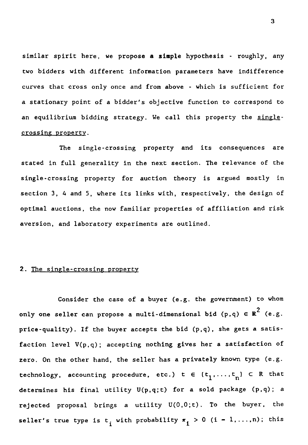similar spirit here, we propose a simple hypothesis - roughly, any two bidders with different information parameters have indifference curves that cross only once and from above - which is sufficient for a stationary point of a bidder's objective function to correspond to an equilibrium bidding strategy. We call this property the singlecrossing property.

The single-crossing property and its consequences are stated in full generality in the next section. The relevance of the single-crossing property for auction theory *is* argued mostly in section 3, 4 and 5, where its links with, respectively, the design of optimal auctions, the now familiar properties of affiliation and risk aversion, and laboratory experiments are outlined.

# 2. The single-crossing property

Consider the case of *a* buyer (e.g. the government) to whom only one seller can propose a multi-dimensional bid  $(p,q) \in R^2$  (e.g. price-quality). If the buyer accepts the bid (p,q), she gets a satisfaction level V(p,q); accepting nothing gives her a satisfaction of zero. On the other hand, the seller has a privately known type (e.g. technology, accounting procedure, etc.)  $t \in (t_1, \ldots, t_n) \subset R$  that determines his final utility U(p,q;t) for a sold package (p,q); a rejected proposal brings a utility U(0,0;t). To the buyer, the price-quality). If the buyer accepts the bid (p,q), she gets a satis-<br>faction level  $V(p,q)$ ; accepting nothing gives her a satisfaction of<br>zero. On the other hand, the seller has a privately known type (e.g.<br>technology, ac

3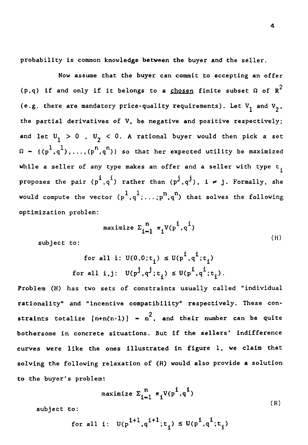probability is common knowledge between the buyer and the seller.

Now assume that the buyer can commit to accepting an offer (p,q) if and only if it belongs to a chosen finite subset  $\Omega$  of  $R^2$ (e.g. there are mandatory price-quality requirements). Let  $V_1$  and  $V_2$ , the partial derivatives of V, be negative and positive respectively; and let  $\mathbb{U}^-_1>0$  ,  $\mathbb{U}^-_2< 0.$  A rational buyer would then pick a set % is commo<br>
Now assume<br>
nd only i<br>
e are mand<br>
l derivati<br>  $> 0$  , U<br>
l,....(p<sup>r</sup><br>
ller of an  $\Omega - \left( (p^1, q^1) \right)$ ),..., $(p^n, q^n)$ } so that her expected utility be maximized while *a* seller of any type makes an offer and a seller with type  $t_i$ proposes the pair  $(\vec{p}^1,\vec{q}^1)$ perongs to a <u>chosen</u> rinite subset *u* of *K*<br>
y price-quality requirements). Let  $V_1$  and  $V_2$ ,<br>
of *V*, be negative and positive respectively;<br>
0. A rational buyer would then pick a set<br>
} so that her expected utilit would compute the vector  $({\sf p}^1,{\sf q}^1;\ldots;{\sf p}^{\sf n},{\sf q}^{\sf n})$  that solves the following e nega<br>ationa<br>at he:<br>s an c<br>r thar<br> $\cdots$ ;<br> $\frac{n}{1-n}$ ,<br> $\frac{n}{1-n}$ , optimization problem: ..(p<sup>n</sup>,q<sup>n</sup>)} so that her expected utility be maximized<br>of any type makes an offer and a seller with type t<sub>i</sub><br>ir (p<sup>i</sup>,q<sup>i</sup>) rather than (p<sup>j</sup>,q<sup>j</sup>), i  $\neq j$ . Formally, she<br>ne vector (p<sup>1</sup>,q<sup>1</sup>;...;p<sup>n</sup>,q<sup>n</sup>) that solv

$$
\text{maximize } \Sigma_{i-1}^n \pi_i V(p^i, q^i) \tag{H}
$$

subject to:

$$
\begin{aligned} \text{for all } i: \ U(0,0;t_i) &\leq U(p^i, q^i; t_i) \\ \text{for all } i, j: \ U(p^j, q^j; t_i) &\leq U(p^i, q^i; t_i). \end{aligned}
$$

Problem (H) has two *sets* of constraints usually called "individual rationality" and "incentive compatibility" respectively. These constraints totalize  $[n+n(n-1)] - n^2$ , and their number can be quite bothersome in concrete situations. But if the sellers' indifference curves were like the ones illustrated in figure 1, we claim that solving the following relaxation of (H) would also provide a solution to the buyer's problem:

$$
\text{maximize } \Sigma_{i=1}^n \pi_i V(p^i, q^i) \tag{R}
$$

subject to:

$$
\text{for all } i: \ \mathbb{U}(p^{i+1},q^{i+1};t_i) \leq \mathbb{U}(p^i,q^i;t_i)
$$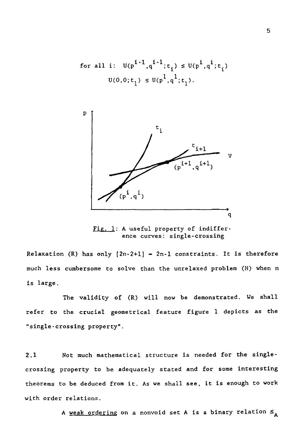for all i: 
$$
U(p^{i-1}, q^{i-1}; t_i) \le U(p^i, q^i; t_i)
$$
  
 $U(0, 0; t_1) \le U(p^1, q^1; t_1)$ .



Fig. 1: A useful property of indifference curves: single-crossing

Relaxation (R) has only  $[2n-2+1] = 2n-1$  constraints. It is therefore much less cumbersome to solve than the unrelaxed problem (H) when n is large.

The validity of (R) will now be demonstrated. We shall refer to the crucial geometrical feature figure 1 depicts *as* the "single-crossing property".

much less cumbersome to solve than the unrelaxed problem (n) when it<br>is large.<br>The validity of (R) will now be demonstrated. We shall<br>refer to the crucial geometrical feature figure 1 depicts as the<br>"single-crossing proper crossing property to be adequately stated and for some interesting theorems to be deduced from it. As we shall see, it is enough to work with order relations.

A <u>weak orderin</u>g on a nonvoid set **A** is a binary relation  $\leq$   $_{\mathbf{A}}$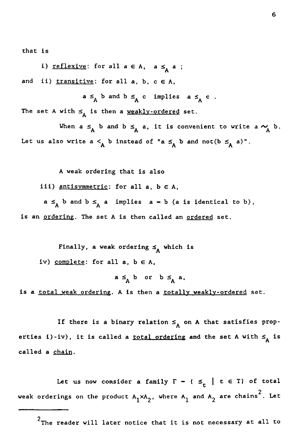that is

i) <u>reflexive</u>: for all  $a \in A$ ,  $a \leq_A a$ ; and ii)  $transitive$ : for all a, b,  $c \in A$ ,

 $a \leq_A b$  and  $b \leq_A c$  implies  $a \leq_A c$ . The set A with  $\leq_{\mathbf{A}}$  is then a <u>weakly-ordered</u> set.

When  $a \leq_A b$  and  $b \leq_A a$ , it is convenient to write  $a \sim_A a$ : for all  $a \in A$ ,  $a \leq_A a$ ;<br>
<u>ve</u>: for all  $a$ ,  $b$ ,  $c \in A$ ,<br>  $\leq_A b$  and  $b \leq_A c$  implies  $a \leq_A c$ .<br>
is then a <u>weakly-ordered</u> set.<br>  $\leq_A b$  and  $b \leq_A a$ , it is convenient to write  $a \sim_A b$ .<br>  $a \leq_A b$  instead of " $a \leq_A b$  $\in$  A,<br>a, b,<br> $\leq_A$  c<br>eakly:<br> $\leq_A$  a,<br>ead of Let us also write  $a <sub>A</sub> b$  instead of " $a \leq_A b$  and not( $b \leq_A a$ )".

A weak ordering that is also

iii)  $antisymmetric: for all  $a, b \in A$ ,$ 

 $a \leq_A b$  and  $b \leq_A a$  implies  $a - b$  (a is identical to b), is an ordering. The set A is then called an ordered set.

Finally, a weak ordering  $\leq_{A}$  which is iv) complete: for all  $a, b \in A$ ,

 $a \leq_A b$  or  $b \leq_A a$ ,

is a total weak ordering. A is then a totally weakly-ordered set.

If there is a binary relation  $\leq_{A}$  on A that satisfies properties i)-iv), it is called a <u>total ordering</u> and the set A with  $\leq_{A}$  is called a chain.

Let us now consider a family  $\Gamma$  -  $\left\{\leq \atop t \right\}$   $t \in T$  of total weak orderings on the product  $\texttt{A_1}\texttt{xA_2}$ , where  $\texttt{A_1}$  and  $\texttt{A_2}$  are chains $^2$ . Let

 $^{\mathrm{Z}}$ The reader will later notice that it is not necessary at all to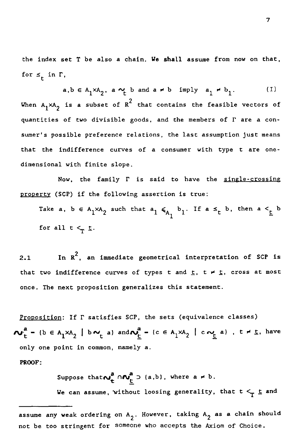the index set T be *also a chain. We* shall assume from now on that, for  $\leq_t$  in  $\Gamma$ ,

set T be also a chain. We shall assume from now on that<br>
.<br>
a,b  $\in A_1 \times A_2$ , a  $\sim_t$  b and a  $\neq$  b imply  $a_1 \neq b_1$ . (I)<br>
is a subset of  $R^2$  that contains the feasible vectors of two divisible goods, and the members When  $A_1^{} \times A_2^{}$  is a subset of  $R^2$  that contains the feasible vectors of quantities of two divisible goods, and the members of  $\Gamma$  are a consumer's possible preference relations, the last assumption just means that the indifference curves of a consumer with type t are onedimensional with finite slope. 's possible preference relations, the last assump<br>the indifference curves of a consumer with t<br>sional with finite slope.<br>Now, the family  $\Gamma$  is said to have the<br>rty (SCP) if the following assertion is true:<br>Take a,  $b \in A$ the indifferer<br>sional with fin<br>Now, the<br>rty (SCP) if th<br>Take a, b  $\in$  A<sub>1</sub><br>for all t  $\leq_T$  t.<br>In R<sup>2</sup>, an

Now, the family  $\Gamma$  is said to have the single-crossing property (SCP) if the following assertion is true:

 $1 \leq A_1 b_1$ . If  $a \leq t$  b, then  $a \leq t$  b

Now,<br>
property (SCP)<br>
Take a, b<br>
for all t<br>
2.1 In R<br>
that two indif<br>
once. The next <sup>2</sup>, an immediate geometrical interpretation of SCP is that two indifference curves of types t and  $\underline{t}$ ,  $t \neq \underline{t}$ , cross at most once. The next proposition generalizes this statement.

Proposition: If  $\Gamma$  satisfies SCP, the sets (equivalence classes)  $\mathbf{w}_t^a$  -  $\mathbf{b} \in \mathbf{A}_1 \times \mathbf{A}_2$  |  $\mathbf{b} \sim_t$  a) and  $\mathbf{w}_t^a$  -  $\mathbf{c} \in \mathbf{A}_1 \times \mathbf{A}_2$  |  $\mathbf{c} \sim_t$  a),  $t \neq t$ , have only one point in common, namely a.

PROOF:

Suppose that  $\omega_{t}^{a} \cap \omega_{t}^{a}$   $\supset$  (a,b), where a  $\neq$  b. We can assume, without loosing generality, that  $t   
 T \leq \text{and}$ 

assume any weak ordering on A<sub>2</sub>. However, taking A<sub>2</sub> as a chain should not be too stringent for someone who accepts the Axiom of Choice.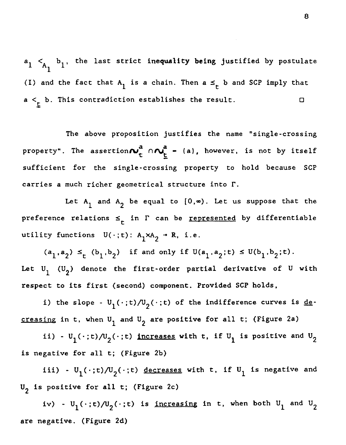$\mathsf{a}_1 < \mathsf{a}_1$  b<sub>1</sub>, the last strict inequality being justified by postulate 1 (I) and the fact that  $\mathsf{A}_1$  is a chain. Then  $\mathsf{a} \leqslant_\mathsf{t} \mathsf{b}$  and SCP imply that  $a <_{t} b$ . This contradiction establishes the result.  $\begin{cases} 64 \text{ h}_1, & \text{the last strict inequality be} 1 \end{cases}$ <br>and the fact that  $\begin{cases} 4 \text{ h}_1 \text{ is a chain. Then a} \end{cases}$ <br>the metrodiction establishes the metrodiction establishes the metrodiction establishes the metrodicion interference of the metrodic metro  $\Box$ 

The above proposition justifies the name "single-crossing property". The assertion $\boldsymbol{\mathcal{N}}_{\text{+}}^{\text{a}}$   $\cap \boldsymbol{\mathcal{N}_{\text{+}}^{\text{a}}}$  = (a), however, is not by itself sufficient for the single-crossing property to hold because SCP carries a much richer geometrical structure into r.

Let  $A_1$  and  $A_2$  be equal to  $\{0,\infty\}$ . Let us suppose that the preference relations  $\leq_t$  in  $\Gamma$  can be <u>represented</u> by differentiable utility functions  $U(\cdot; t)$ :  $A_1 \times A_2 \rightarrow R$ , i.e.

 $(a_1, a_2) \leq_t (b_1, b_2)$  if and only if  $U(a_1, a_2; t) \leq U(b_1, b_2; t)$ . Let  $\mathbb{U}_1$  ( $\mathbb{U}_2$ ) denote the first-order partial derivative of  $\mathbb U$  with respect to its first (second) component. Provided SCP holds,

i) the slope -  $U_1(\cdot;t)/U_2(\cdot;t)$  of the indifference curves is <u>de</u>creasing in t, when  $U_1$  and  $U_2$  are positive for all t; (Figure 2a)

ii) -  $U_1(\cdot;t)/U_2(\cdot;t)$  increases with t, if  $U_1$  is positive and  $U_2$ is negative for all t; (Figure 2b)

iii) - U<sub>1</sub>(.;t)/U<sub>2</sub>(.;t) decreases with t, if U<sub>1</sub> is negative and U 2 is positive for all t; (Figure 2c)

iv) -  $U_1(\cdot;t)/U_2(\cdot;t)$  is <u>increasin</u>g in t, when both  $U_1$  and  $U_2$ are negative. (Figure 2d)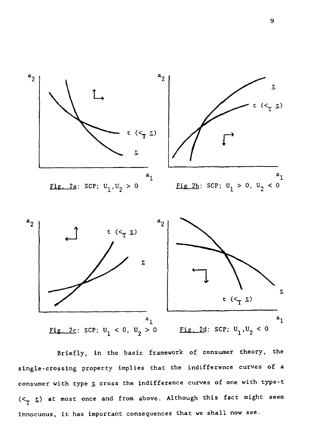

Briefly, in the basic framework of consumer theory, the single-crossing property implies that the indifference curves of a consumer with type  $t$  cross the indifference curves of one with type-t</u>  $( $\tau$  t) at most once and from above. Although this fact might seem$ innocuous, it has important consequences that we shall now *see.*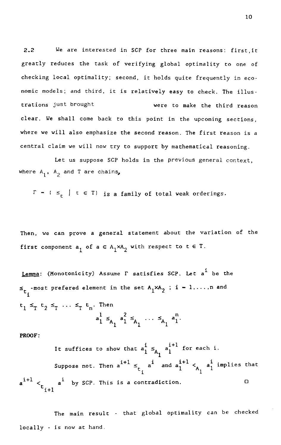10<br>2.2 We are interested in SCP for three main reasons: first,it<br>(1991)<br>Treatly reduces the task of verifying global optimality to one of<br>thecking local optimality; second, it holds quite frequently in ecogreatly reduces the task of verifying global optimality to one of checking local optimality; second, it holds quite frequently in economic models; and third, it is relatively easy to check. The illus-2.2 We are interested in SCP for three main reasons: first, it<br>greatly reduces the task of verifying global optimality to one of<br>checking local optimality; second, it holds quite frequently in eco-<br>nomic models; and third, clear. We shall come back to this point in the upcoming sections, where we will also emphasize the second reason. The first reason is a central claim we will now try to support by mathematical reasoning.

Let us suppose SCP holds in the previous general context, where  $A_1$ ,  $A_2$  and T are chains,

 $\Gamma$  -  $\in$   $\leq$   $\bigcup$  t  $\in$  T) is a family of total weak orderings.

Then, we can prove a general statement about the variation of the first component  $a_1$  of  $a \in A_1 \times A_2$  with respect to  $t \in T$ .

<u>Lemma</u>: (Monotonicity) Assume  $\Gamma$  satisfies SCP. Let a<sup>i</sup> be the  $\leq_{\texttt{t}}$  -most prefered element in the set  $\texttt{A}_1 \texttt{xA}_2$  ; out the variation<br>  $\begin{aligned} \n\text{Let } \mathbf{c} \in \mathbf{T}. \n\end{aligned}$ <br>  $\begin{aligned} \n\text{Let } \mathbf{c} \in \mathbf{c} \n\end{aligned}$ <br>  $\begin{aligned} \n\text{Let } \mathbf{c} \in \mathbf{c} \n\end{aligned}$ i  $t_1 \leq_T t_2 \leq_T \ldots \leq_T t_n$ . Then Experience of  $\epsilon$  and  $\epsilon$  and  $\epsilon$  and  $\epsilon$  and  $\epsilon$  and  $\epsilon$  and  $\epsilon$  and  $\epsilon$  and  $\epsilon$  and  $\epsilon$  and  $\epsilon$  and  $\epsilon$  and  $\epsilon$  and  $\epsilon$  and  $\epsilon$  and  $\epsilon$  and  $\epsilon$  and  $\epsilon$  and  $\epsilon$  and  $\epsilon$  and  $\epsilon$  and  $\epsilon$  and  $\epsilon$  and  $\leq_{\mathbf{A}}$  and  $a \in A_1 \times A_2$  with respect to<br>
Assume  $\Gamma$  satisfies SCP.<br>
ent in the set  $A_1 \times A_2$  ; i.<br>
Then<br>  $a_1^1 \leq a_1^2 \leq a_1^2 \cdots \leq a_1^2$ <br>
to show that  $a_1^i \leq a_1^{i+1}$ PROOF:  $\begin{array}{ccc} 1 & \times & \times \\ & \times & \end{array}$ 

 $\ldots \leq_{A_1} a_1^n$ .<br>  $\ldots \leq_{A_1} a_1^n$ .<br>  $a_1^i \leq_{A_1} a_1^{i+1}$  for each  $a_1^{i+1} \leq_{A_1} a_1^{i+1}$ . t<sub>1</sub> It suffices to show that  $a_1^i \leq_a a_1^{i+1}$  for each i.  $1 - A_1$ Suppose not. Then  $a^{i+1} \leqslant_{t_{i}} a^{i}$  and  $a^{i+1}_{1} <_{A_{1}} a^{i}_{1}$  implies that  $\mathrm{a}^{\mathrm{i}+1}<$   $\mathrm{a}^{\mathrm{i}}$  by SCP. This is a contradiction.  $\Box$ 1+1

The main result - that global optimality can be checked locally - is now at hand.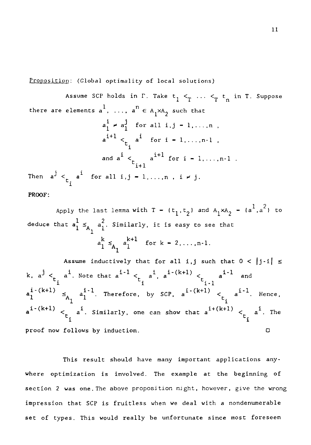Proposition: (Global optimality of local solutions)

Assume SCP holds in  $\Gamma$ . Take  $t_1 <sub>T</sub> ..., <sub>T</sub> t_n$  in T. Suppose solutions)<br>  $1 <sup>1</sup> <sup>T</sup>  $\cdots <sup>2</sup> <sup>T</sup>$   
\nwith that  
\n $-1, \ldots, n$ ,$ there are elements  $a^1$ , ...,  $a^n \in A_1 \times A_2$  such that a *1 o* mality of local solutions)<br> *a***i** for all i,j – 1,...,n<br>  $\epsilon_{t}$  a<sup>*i*</sup> for all i,j – 1,...,n<br>  $\epsilon_{t}$  a<sup>*i*</sup> for i – 1,...,n-1<br>  $\epsilon_{t}$  a<sup>i+1</sup> for i – 1  $\neq a_1^j$ a i+1 < a l for i – 1 n-1 , t.1 and  $a^1 < a$ t n r f a i = local solutions)<br>
Take  $t_1 <sub>T</sub> ... <sub>T</sub> t_n$ <br>  $1<sup>xA</sup>2$  such that<br>
11 i.j - 1,...,n,<br>
or i - 1,...,n-1,<br>
i<sup>+1</sup> for i - 1,...,n-1<br>
..,n, i  $\neq$  j. . 1+1 Then  $a^J < a^1$ elements  $a^1$ , ...,  $a^n \in A_1 \times A_2$  such the<br>  $a_1^i \neq a_1^j$  for all  $i,j = 1,...$ <br>  $a^{i+1}   
\n \infty a^i$  for  $i = 1,...$ ,<br>
and  $a^i   
\n \infty a^{i+1}$  for  $i = 1$ <br>  $t_i$   $a^i$  for all  $i,j = 1,...,n$ ,  $i \neq j$ .<br>  $t_i$   $t_i$  is the set lemma with 1 **PROOF:**  $\begin{aligned}\na_1^1 \neq a_1^j \quad \text{for all } i, j = 1, \ldots, n-1 \\
a_1^{i+1} < \frac{1}{t_i} \quad \text{for } i = 1, \ldots, n-1 \\
\text{and } a^i < \frac{1}{t_i+1} \quad \text{for } i = 1, \ldots, n\n\end{aligned}$ <br>  $\begin{aligned}\n\leq & \frac{1}{t_i} \quad \text{for all } i, j = 1, \ldots, n, \quad i \neq j.\n\end{aligned}$ <br>
Apply the last lemma with  $T = \{t_1$ and  $a^i <$ <br>  $t_i$ <br>
all i,j  $-t_i$ <br>
st lemma w:<br>
st lemma w:<br>  $\frac{2}{1}$ . Similar<br>  $\frac{k+1}{1} \leq A_1 \frac{k+1}{1}$ <br>
uctively t

 $1^{xA}2 = {a^1, a^2}$  to deduce that  $a_1^L \leq_{A_1} a_1^2$ . Similarly, it is easy to see that  $a_1^k \leq a_1^{k+1}$  for  $k = 2, \ldots, n-1$ .  $\mathbf{r}$ 

Assume inductively that for all i,j such that  $0 < |j-i| \le$ a i-1  $\mathsf{a}$ .  $\mathsf{a}$ k,  $a^j   
_t a^i$ . Note that  $a^{i-1}   
_t a^i$ ,  $a^{i-(k+1)}   
_t a^{i-1}$ ply the last lemma with  $T = {t_1, t_2}$  a<br>  $t a_1^l \leq_{A_1} a_1^2$ . Similarly, it is easy to<br>  $a_1^k \leq_{A_1} a_1^{k+1}$  for  $k = 2, ..., n$ <br>
Assume inductively that for all i,j<br>  $a^i$ . Note that  $a^{i-1} <_{t_i} a^i$ ,  $a^{i-(k+1)} <_{t_i} a_1^{i \begin{array}{ccc} 1 & 5 & 1 \\ -1 & 5 & 5 \\ +1 & 5 & 5 \end{array}$  $a^{1-1}$  and  $\epsilon_{t_i}$  a<sup>i</sup> for all i,j - 1,...,n, i  $\neq$  j.<br>Apply the last lemma with  $T - \{t_1, t_2\}$  and *k*<br>hat  $a_1^l \leq_{A_1} a_1^2$ . Similarly, it is easy to see<br> $a_1^k \leq_{A_1} a_1^{k+l}$  for  $k = 2, ..., n-1$ .<br>Assume inductively that for  $\mathbf{a}_{1}^{i\text{-}(k+1)} \leq \mathbf{a}_{1}^{i\text{-}1}$ . Therefore, by SCP,  $\mathbf{a}^{i\text{-}(k+1)} \leq \mathbf{a}_{i}^{i\text{-}1}$ . Hence, Apply the 1<br>
educe that  $a_1^l \leq_{A_1}$ <br>  $A_2$ <br>  $A_3$ <br>  $A_4$ <br>  $A_5$ <br>  $A_1$ <br>  $A_1$ <br>  $A_1$ <br>  $A_2$ <br>  $A_1$ <br>  $A_1$ <br>  $A_2$ <br>  $A_1$ <br>  $A_2$ <br>  $A_1$ <br>  $A_2$ <br>  $A_1$ <br>  $A_2$ <br>  $A_1$ <br>  $A_2$ <br>  $A_1$ <br>  $A_2$ <br>  $A_2$ <br>  $A_1$ <br>  $A_2$ <br>  $A_1$ ply<br>at a<br>Ass<sup>i</sup><br> $a^{\underline{i}}$ .<br> $\leq_{A_{\underline{1}}}$ <br> $\leq_{L_{\underline{i}}}$ <br>foll **the**<br>
the<br> **i**<br> **t**<br> **i**<br> **t**<br> **i**<br> **i**  $\mathbf{a}^{i+(k+1)} \leq \mathbf{a}^{i}$ . Similarly, one can show that  $\mathbf{a}^{i+(k+1)} \leq \mathbf{b}^{i+(k+1)}$ bly the last lemma with  $T - {t_1, t_2}$  and  $A_1 \times A_2 - {a^1, a^2}$  to<br>  $t a_1^l \leq_{A_1} a_1^2$ . Similarly, it is easy to see that<br>  $a_1^k \leq_{A_1} a_1^{k+1}$  for  $k - 2, ..., n-1$ .<br>
Assume inductively that for all i,j such that  $0 < |j-i| \$  $a_1 \leq a_1 a_1$  for  $k = 2, ..., n-1$ .<br>
Assume inductively that for all i,j such that  $0 < |j-i|$ <br>  $k, a^j < \frac{1}{t_i} a^i$ . Note that  $a^{i-1} < \frac{1}{t_i} a^i$ ,  $a^{i-(k+1)} < \frac{1}{t_i} a^{i-1}$  and<br>  $a_1^{i-(k+1)} \leq a_1^{i-1}$ . Therefore, by SCP,  $a^{i$ 

This result should have many important applications anywhere optimization is involved. The example at the beginning of section 2 was one. The above proposition might, however, give the wrong impression that SCP is fruitless when we deal with a nondenumerable set of types. This would really be unfortunate since most foreseen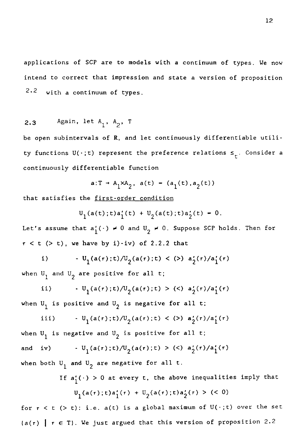applications of SCP are to models with *a* continuum of types. We now intend to correct that impression and state a version of proposition 2.2 with a continuum of types. appl<br>inte<br>2.2<br>2.3<br>pe o<br>ty f

2.3 Again, let 
$$
A_1
$$
,  $A_2$ , T

be open subintervals of R, and let continuously differentiable utility functions  $\mathtt{U}(\,\cdot\,; \mathtt{t})$  represent the preference relations  $\leq_{\mathtt{t}}$ . Consider a continuously differentiable function t A<sub>1</sub>, A<sub>2</sub>, T<br>ls of R, and let continuously dif<br>) represent the preference relation<br>rentiable function<br>a:T + A<sub>1</sub>×A<sub>2</sub>, a(t) – (a<sub>1</sub>(t),a<sub>2</sub>(t))<br>first-order condition<br>a(t):t)a'(t) + U<sub>2</sub>(a(t):t)a'(t) – rvals of R, and let continuously diffe<br>
.;t) represent the preference relation<br>
fferentiable function<br>  $a:T \rightarrow A_1 \times A_2$ ,  $a(t) = (a_1(t), a_2(t))$ <br>
the <u>first-order condition</u><br>  $U_1(a(t);t)a'_1(t) + U_2(a(t);t)a'_2(t) = 0.$ <br>
at  $a'_1(\cdot) \neq 0$  and

$$
a:T \rightarrow A_1 \times A_2
$$
,  $a(t) = (a_1(t), a_2(t))$ 

that satisfies the first-order condition

$$
U_1(a(t);t)a'_1(t) + U_2(a(t);t)a'_2(t) = 0.
$$

Let's assume that  $a'_1(\cdot) \neq 0$  and  $U_2 \neq 0$ . Suppose SCP holds. Then for  $r < t$  (> t), we have by i)-iv) of 2.2.2 that

i) 
$$
U_1(a(r);t)/U_2(a(r);t) < (>) a'_2(r)/a'_1(r)
$$

when  $\mathbb{U}^{\,}_{1}$  and  $\mathbb{U}^{\,}_{2}$  are positive for all t;

ii) 
$$
\qquad \qquad \cdot \mathbf{U}_1(\mathbf{a}(\tau); \mathbf{t}) / \mathbf{U}_2(\mathbf{a}(\tau); \mathbf{t}) > \langle \langle \rangle \mathbf{a}_2'(\tau) / \mathbf{a}_1'(\tau)
$$

when  $\mathsf{U}_1$  is positive and  $\mathsf{U}_2$  is negative for all t;

iii) 
$$
U_1(a(\tau);t)/U_2(a(\tau);t) < (>) a'_2(\tau)/a'_1(\tau)
$$

when  $U_1$  is negative and  $U_2$  is positive for all t; 1)  $U_1(a(r);t)/U_2(a(r);t) < (>)$   $a'_2(r)/a'_1(r)$ <br>
when  $U_1$  and  $U_2$  are positive for all t;<br>
ii)  $U_1(a(r);t)/U_2(a(r);t) > (<)$   $a'_2(r)/a'_1(r)$ <br>
when  $U_1$  is positive and  $U_2$  is negative for all t;<br>
iii)  $U_1(a(r);t)/U_2(a(r);t) < (>)$   $a'_2(r)/a'_1(r)$ when both  $\mathtt{U}_1$  and  $\mathtt{U}_2$  are negative for all t

If  $a'_1(\cdot) > 0$  at every t, the above inequalities imply that  $U_1(a(\tau);t)a'_1(\tau) + U_2(a(\tau);t)a'_2(\tau) > (0)$ 

for  $r < t$  (> t): i.e. a(t) is a global maximum of  $U(\cdot; t)$  over the set  $(a(r) | r \in T)$ . We just argued that this version of proposition 2.2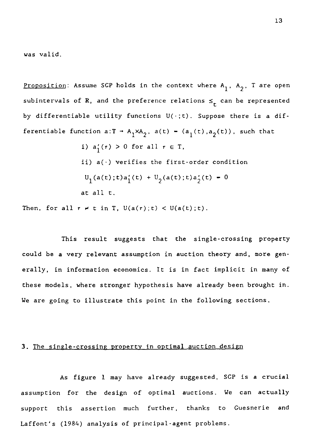was valid.

Proposition: Assume SCP holds in the context where  $A_1$ ,  $A_2$ , T are open subintervals of R, and the preference relations  $\leq_t$  can be represented by differentiable utility functions  $U(\cdot; t)$ . Suppose there is a dif-**Proposition:** Assume SCP holds in the context where  $A_1$ ,  $A_2$ , T are<br>subintervals of R, and the preference relations  $\leq_t$  can be represe<br>by differentiable utility functions  $U(\cdot;t)$ . Suppose there is a<br>ferentiable fu i)  $a'_1(\tau) > 0$  for all  $\tau \in T$ ,

ii) a(•) verifies the first-order condition  $U_1(a(t);t)a'_1(t) + U_2(a(t);t)a'_2(t) - 0$ at all t.

Then, for all  $r \neq t$  in T,  $U(a(r);t) < U(a(t);t)$ .

This result suggests that the single-crossing property could be a very relevant assumption in auction theory and, more generally, in information economics. It is in fact implicit in many of these models, where stronger hypothesis have already been brought in. We are going to illustrate this point in the following sections.

### 3. The single-crossing property in optimal auction design

As figure 1 may have already suggested, SCP is a crucial assumption for the design of optimal auctions. We can actually support this assertion much further, thanks to Cuesnerie and Laffont's (1984) analysis of principal-agent problems.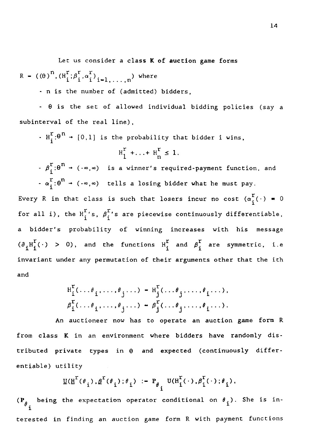Let us consider a class K of auction game forms Let us consider a clas<br>
R -  $((\theta)^n, (H_i^r; \beta_i^r, \alpha_i^r)_{i=1, ..., n})$  w<br>
- n is the number of (admit<br>
-  $\theta$  is the set of allowed Let us consi<br>  $(H_i^r; \beta_i^r, \alpha_i^r)_{i}$ ,<br>
s the number<br>
s the set R -  $((\theta)^n, (H_i^r; \beta_i^r, \alpha_i^r)_{i=1,\ldots,n})$  where

- n is the number of (admitted) bidders,

 $\theta$  is the set of allowed individual bidding policies (say a subinterval of the real line),

H[: $\theta$   $\rightarrow$  [0,1] is the probability that bidder i wins,

$$
H_1^r + \ldots + H_n^r \leq 1.
$$

,n<sup>) where</sup><br>admitted)<br>lowed indi<br>e),<br>probabili<br> $\frac{r}{1} + \ldots + \frac{r}{n}$ <br>winner's<br>s a losing  $r_i \in \beta_i^r$  + ( $\cdot \infty, \infty$ ) is a winner's required-payment function, and  $a_i^r: \theta^n \to (\infty, \infty)$  tells a losing bidder what he must pay.

Every R in that class is such that losers incur no cost  $(\alpha_i^r(\cdot) = 0$ for all i), the  $H_i^r$ 's,  $\beta_i^r$ 's are piecewise continuously differentiable, a bidder's probability of winning increases with his message  $(\partial_{i}H_{i}^{r}(\cdot) > 0)$ , and the functions  $H_{i}^{r}$  and  $\beta_{i}^{r}$  are symmetric, i.e invariant under any permutation of their arguments other that the ith and

$$
H_i^r(\ldots, \theta_i, \ldots, \theta_j, \ldots) - H_j^r(\ldots, \theta_j, \ldots, \theta_i, \ldots),
$$
  

$$
\beta_i^r(\ldots, \theta_i, \ldots, \theta_j, \ldots) - \beta_j^r(\ldots, \theta_j, \ldots, \theta_i, \ldots).
$$

An auctioneer now has to operate an auction game form R from class K in an environment where bidders have randomly distributed private types in  $\theta$  and expected (continuously differentiable) utility

$$
\underline{U}(\underline{H}^{r}(\theta_{i}), \underline{\beta}^{r}(\theta_{i}); \theta_{i}) := P_{\theta_{i}} U(H_{i}^{r}(\cdot), \beta_{i}^{r}(\cdot); \theta_{i}),
$$

( $P_{\theta_i}$  being the expectation operator conditional on  $\theta_i$ ). She is interested in finding an auction game form R with payment functions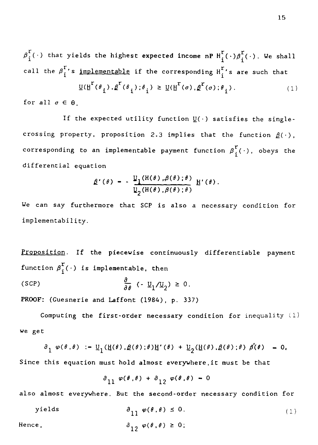$\overline{\beta}_j^{\text{r}}(\,\cdot\,)$  that yields the highest expected income nP  $\texttt{H}_i^{\text{r}}(\,\cdot\,) \overline{\beta}_j^{\text{r}}(\,\cdot\,)$ . We shall call the  $\overline{\beta}_i^{\Gamma}$ 's <u>implementable</u> if the corresponding  $\overline{\mathrm{H}}_i^{\Gamma}$ 's are such that 15<br>
lds the highest expected income nP  $H_i^{\Gamma}(\cdot) \beta_i^{\Gamma}(\cdot)$ . We shall<br>
implementable if the corresponding  $H_i^{\Gamma}$ 's are such that<br>  $\underline{U}(H^{\Gamma}(\theta_1), \underline{\beta}^{\Gamma}(\theta_1); \theta_i) \geq \underline{U}(H^{\Gamma}(\sigma), \underline{\beta}^{\Gamma}(\sigma); \theta_i)$ . (1)<br>
the expected

$$
\underline{\mathsf{U}}(\underline{\mathsf{H}}^{\mathsf{r}}(\theta_{i}), \underline{\beta}^{\mathsf{r}}(\theta_{i}); \theta_{i}) \geq \underline{\mathsf{U}}(\underline{\mathsf{H}}^{\mathsf{r}}(\sigma), \underline{\beta}^{\mathsf{r}}(\sigma); \theta_{i}). \tag{1}
$$

for all  $\sigma \in \Theta$ .

If the expected utility function  $\underline{\mathbb{U}}(\cdot)$  satisfies the singlecrossing property, proposition 2.3 implies that the function  $\underline{\beta}(\cdot)$ ,  $\beta_1^{\tau}(\cdot)$  that yields the highest expected income nP  $H_i^{\tau}$ <br>
call the  $\beta_i^{\tau}$ 's <u>implementable</u> if the corresponding  $H_i^{\tau}$ '<br>  $\underline{U}(H^{\tau}(\theta_1), \underline{\beta}^{\tau}(\theta_1); \theta_i) \ge \underline{U}(H^{\tau}(\sigma), \underline{\beta}^{\tau}(\sigma); \theta_i)$ <br>
for all  $\sigma \in \Theta$ corresponding to an implementable payment function  $\beta_i^r(\cdot)$ , obeys the differential equation  $(\theta_i).\beta^c(\theta_i);\theta_i) \ge \underline{U(H}^c(\sigma), \beta^c(\sigma));$ <br> *x*pected utility function  $\underline{U}(\cdot)$  sa<br> *proposition* 2.3 implies that<br>
an implementable payment function<br>  $\beta^c(\theta) = -\frac{\underline{U_1(H(\theta), \beta(\theta)};\theta)}{\underline{U_2(H(\theta), \beta(\theta)};\theta)} H^c(\theta).$ <br>
rmore that SCP i ected utility function ]<br>
proposition 2.3 implies<br>
implementable payment<br>
a<br>
( $\theta$ ) - -  $\frac{U_1(H(\theta), \theta(\theta); \theta)}{U_2(H(\theta), \theta(\theta); \theta)}$ <br>
ore that SCP is also<br>
piecewise continuous]<br>
piecewise continuous]<br>
piecewise continuous]<br>
leme

$$
\beta'(\theta) = -\frac{\mathbb{I}_1(\mathrm{H}(\theta), \beta(\theta); \theta)}{\mathbb{I}_2(\mathrm{H}(\theta), \beta(\theta); \theta)} \mathbb{H}'(\theta).
$$

*We* can say furthermore that SCP is also a necessary condition for implementability.

Proposition. If the piecewise continuously differentiable payment function  $\beta_i^r(\cdot)$  is implementable, then We can say furthermore that SCP is also<br>implementability.<br>Proposition. If the piecewise continuous<br>function  $\beta_1^{\Gamma}(\cdot)$  is implementable, then<br>(SCP)  $\frac{\partial}{\partial \theta}(-\underline{U}_1/\underline{U}_2) \geq 0$ .<br>PROOF: (Guesnerie and Laffont (1984),  $\frac{\partial}{\partial \theta}$  (-  $\underline{U}_1/\underline{U}_2$ )  $\geq 0$ . PROOF: (Guesnerie and Laffont (1984), p. 337) ition. If the piecewise continuously differentiable payme<br>
on  $\beta_1^{\Gamma}(\cdot)$  is implementable, then<br>  $\frac{\partial}{\partial \theta}$  (-  $\underline{U}_1/\underline{U}_2$ )  $\geq 0$ .<br>
(Guesnerie and Laffont (1984), p. 337)<br>
omputing the first-order necessary con

Computing the first-order necessary condition for inequality (1) we get

$$
\beta_1 \varphi(\theta,\theta) := \underline{U}_1(\underline{H}(\theta),\underline{\beta}(\theta);\theta)\underline{H}'(\theta) + \underline{U}_2(\underline{H}(\theta),\underline{\beta}(\theta);\theta) \beta'(\theta) = 0,
$$

Since this equation must hold almost everywhere,it must be that

$$
\partial_{11} \varphi(\theta, \theta) + \partial_{12} \varphi(\theta, \theta) - 0
$$

also almost everywhere. But the second-order necessary condition for

Computing the first-order necessary condition for inequality (1)

\nwe get

\n
$$
\partial_1 \varphi(\theta, \theta) := \underline{U}_1(\underline{H}(\theta), \underline{\beta}(\theta); \theta) \underline{H}'(\theta) + \underline{U}_2(\underline{H}(\theta), \underline{\beta}(\theta); \theta) \underline{\beta}(\theta) = 0,
$$
\nSince this equation must hold almost everywhere, it must be that

\n
$$
\partial_{11} \varphi(\theta, \theta) + \partial_{12} \varphi(\theta, \theta) = 0
$$
\nalso almost everywhere. But the second-order necessary condition for yields

\n
$$
\partial_{11} \varphi(\theta, \theta) \leq 0.
$$
\nHence,

\n
$$
\partial_{12} \varphi(\theta, \theta) \geq 0;
$$
\n(1)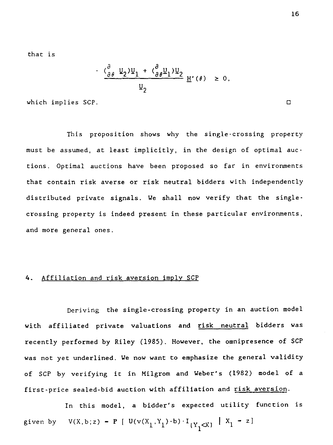that is

that is  
\n
$$
\frac{(\frac{\partial}{\partial \theta} \underline{U}_2) \underline{U}_1 + (\frac{\partial}{\partial \theta} \underline{U}_1) \underline{U}_2}{\underline{U}'(\theta)} \underline{H}'(\theta) \ge 0,
$$
\nwhich implies SCP.  
\nThis proposition shows why the single-crossing proper

This proposition shows why the single-crossing property must be assumed, at least implicitly, in the design of optimal auctions. Optimal auctions have *been* proposed so far in environments that contain risk averse or risk neutral bidders with independently distributed private signals. We shall now verify that the singlecrossing property is indeed present in these particular environments, and more general ones.

## 4. Affiliation and risk aversion imply SCP

Deriving the single-crossing property in an auction model with affiliated private valuations and risk neutral bidders was recently performed by Riley (1985). However, the omnipresence of SCP was not yet underlined. We now want to emphasize the general validity of SCP by verifying it in Milgrom and Weber's (1982) model of a first-price sealed-bid auction with affiliation and risk aversion. with affiliated private valuation<br>recently performed by Riley (1985)<br>was not yet underlined. We now wan<br>of SCP by verifying it in Milgr<br>first-price sealed-bid auction wit<br>In this model, a bidde<br>given by  $V(X,b;z) = P [U(v(X_1, Y$ 

In this model, a bidder's expected utility function is  $(1)^{-b}$ <sup>1</sup> $(Y, \ll)$   $\{X_1 - z\}$ 

1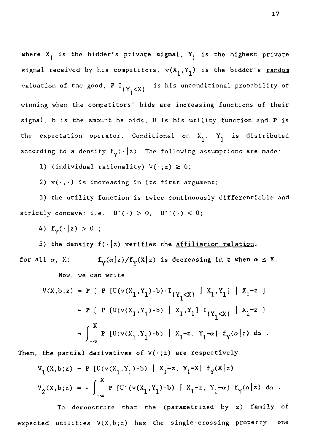where  $\mathtt{x}_1$  is the bidder's private signal,  $\mathtt{Y}_1$  is the highest private signal received by his competitors,  $v(X_1, Y_1)$  is the bidder's <u>random</u> valuation of the good, P  $I_{(Y_1\leq X)}$  is his unconditional probability of winning when the competitors' bids are increasing functions of their signal, b is the amount he bids, U is his utility function and P is the expectation operator. Conditional on  $X_1$ ,  $Y_1$  is distributed according to a density  $f_y(\cdot | z)$ . The following assumptions are made:

1) (individual rationality)  $V(\cdot; z) \geq 0$ ;

2)  $v(\cdot, \cdot)$  is increasing in its first argument;

3) the utility function is twice continuously differentiable and strictly concave: i.e.  $U'(\cdot) > 0$ ,  $U''(\cdot) < 0$ ;

4)  $f_v(\cdot | z) > 0$ ;

5) the density  $f(\cdot|z)$  verifies the affiliation relation: for all *a,* X:  $\begin{bmatrix} 1 & 1 & 1 \\ 2 & 3 & 4 \\ 3 & 4 & 5 \\ 1 & 3 & 5 \\ 1 & 1 & 1 \end{bmatrix}$ creasing in its first argument;<br>
function is twice continuously differentiable<br>
e. U'(.) > 0, U''(.) < 0;<br>
;<br>
f(.|z) verifies the <u>affiliation relation</u>:<br>  $f_Y(\alpha|z)/f_Y(X|z)$  is decreasing in z when  $\alpha \leq X$ .<br>
n write<br>
P [U(v Now, we can write

\n The density 
$$
f(\cdot|z)
$$
 verifies the *affiliation relation*:  
\n  $\alpha$ ,  $X$ :  $f_Y(\alpha|z)/f_Y(X|z)$  is decreasing in  $z$  when  $\alpha \leq N$ .\n

\n\n Now, we can write\n

\n\n
$$
V(X,b;z) - P \left[ P \left[ U(v(X_1,Y_1)-b) \cdot I_{(Y_1 \triangleleft X)} \middle| X_1, Y_1 \right] \middle| X_1 = z \right] - P \left[ P \left[ U(v(X_1,Y_1)-b) \middle| X_1, Y_1 \right] \cdot I_{(Y_1 \triangleleft X)} \middle| X_1 = z \right] - \int_{-\infty}^{X} P \left[ U(v(X_1,Y_1)-b) \middle| X_1 = z, Y_1 = \alpha \right] f_Y(\alpha|z) \, d\alpha \right].
$$
\n

Then, the partial derivatives of  $V(\cdot; z)$  are respectively

$$
v_1(x, b; z) - P [U(v(X_1, Y_1) \cdot b) | X_1 = z, Y_1 = X] f_Y(X|z)
$$
  

$$
v_2(x, b; z) = - \int_{-\infty}^X P [U'(v(X_1, Y_1) \cdot b) | X_1 = z, Y_1 = \alpha] f_Y(\alpha|z) d\alpha.
$$

To demonstrate that the (parametrized by z) family of expected utilities V(X,b;z) has the single-crossing property, one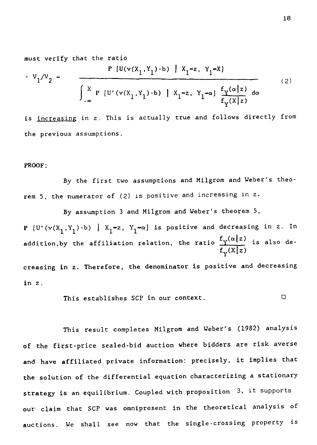must verify that the ratio

$$
V_{1}/V_{2} = \frac{P [U(v(X_{1}, Y_{1}) - b) | X_{1} = z, Y_{1} = x]}{\int_{-\infty}^{X} P [U'(v(X_{1}, Y_{1}) - b) | X_{1} = z, Y_{1} = a] \frac{f_{Y}(\alpha | z)}{f_{Y}(X | z)} d\alpha}
$$
(2)

*is* increasing in z. This is actually true and follows directly from the previous assumptions.

#### PROOF:

By the first two assumptions and Milgrom and Weber's theorem 5, the numerator of (2) is positive and increasing in z.

By assumption 3 and Milgrom and Weber's theorem 5, P  $[U'(v(X_1, Y_1) \cdot b) \mid X_1 = z, Y_1 = \alpha]$  is positive and decreasing in z. In addition,by the affiliation relation, the ratio  $\frac{f_{V}(a|z)}{z}$  is also de $f_{\rm v}(x|z)$ creasing in z. Therefore, the denominator is positive and decreasing in z. By assumption 3 and Milgrom and Weber's theorem 5,<br>  $,Y_1$ )-b) |  $X_1 = z$ ,  $Y_1 = \alpha$ ] is positive and decreasing in z.<br>
y the affiliation relation, the ratio  $\frac{f_y(\alpha|z)}{f_y(X|z)}$  is also our<br>
n z. Therefore, the denominator i

This result completes Milgrom and Weber's (1982) analysis of the first-price sealed-bid auction where bidders are risk averse and have affiliated private information: precisely, it implies that the solution of the differential equation characterizing a stationary strategy is an equilibrium. Coupled with proposition 3, it supports our claim that SCP was omnipresent in the theoretical analysis of auctions. We shall *see* now that the single-crossing property *is*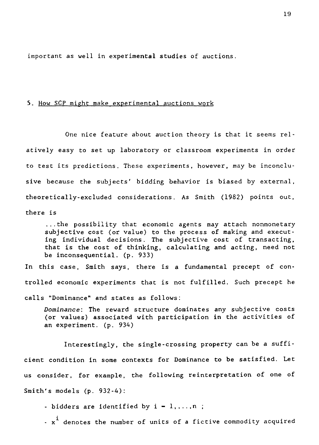important as well in experimental studies of auctions.

## 5. How SCP might make experimental auctions work

One nice feature about auction theory is that it seems relatively easy to set up laboratory or classroom experiments in order to test its predictions. These experiments, however, may be inconclusive because the subjects' bidding behavior *is* biased by external, theoretically-excluded considerations. As Smith (1982) points out, there is

...the possibility that economic agents may attach nonmonetary subjective cost (or value) to the process of making and executing individual decisions. The subjective cost of transacting, that is the cost of thinking, calculating and acting, need not be inconsequential. (p. 933)

In this case, Smith *says,* there *is* a fundamental precept of controlled economic experiments that is not fulfilled. Such precept he calls "Dominance" and states as follows:

*Dominance:* The reward structure dominates any subjective costs (or values) associated with participation in the activities of an experiment. (p. 934)

Interestingly, the single-crossing property can be a sufficient condition in some contexts for Dominance to be satisfied. Let us consider, for example, the following reinterpretation of one of Smith's models (p. 932-4):

- bidders are identified by  $i = 1, ..., n$ ;

-  $\mathrm{x}^\mathbf{1}$  denotes the number of units of a fictive commodity acquired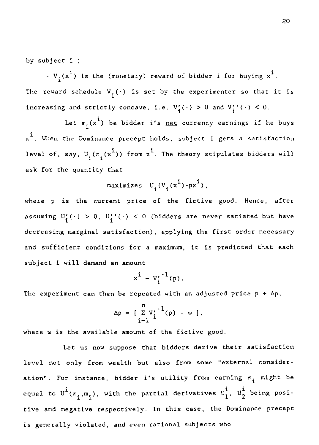by subject i ;

- V.( $x^1$ ) is the (monetary) reward of bidder i for buying  $x^1$ . The reward schedule  $V_i(\cdot)$  is set by the experimenter so that it is increasing and strictly concave, i.e.  $V'_{i}(\cdot) > 0$  and  $V'_{i}(\cdot) < 0$ .

Let  $\pi_i(x^i)$  be bidder i's <u>net</u> currency earnings if he buys  $\mathrm{x}^{1}.$  When the Dominance precept holds, subject i gets a satisfaction level of, say,  $\mathtt{U}_\mathtt{.}(\pi_\mathtt{.}(x^1))$  from  $\mathtt{x}^1$ . The theory stipulates bidders will ask for the quantity that

maximizes 
$$
U_i(V_i(x^i) - px^i)
$$
,

where p is the current price of the fictive good. Hence, after assuming  $U'_i(\cdot) > 0$ ,  $U'_i'(\cdot) < 0$  (bidders are never satiated but have decreasing marginal satisfaction), applying the first-order necessary and sufficient conditions for a maximum, it is predicted that each subject i will demand an amount

$$
x^i - v_i'^{-1}(p).
$$

The experiment can then be repeated with an adjusted price  $p + \Delta p$ ,

$$
\Delta p = \left[ \begin{array}{c} n \\ \Sigma V'_1 \\ i-1 \end{array} \right] (p) - \omega \, ,
$$

where w is the available amount of the fictive good.

Let us now suppose that bidders derive their satisfaction level not only from wealth but also from some "external consideration". For instance, bidder i's utility from earning  $\pi_{\hat{1}}$  might be equal to  $\texttt{U}^{\texttt{+}}(\pi_{\texttt{i}},\mathtt{m}_{\texttt{i}}^{\texttt{+}})$ , with the partial derivatives  $\texttt{U}^{\texttt{+}}_{\texttt{1}}, \ \texttt{U}^{\texttt{+}}_{\texttt{2}}$  being posi- $\Delta p = \left[ \sum_{i=1}^{n} V_i^{-1}(p) - \omega \right],$ <br>available amount of the fictive good.<br>us now suppose that bidders derive their<br>y from wealth but also from some "exter<br>nstance, bidder i's utility from earning<br> $,m_i$ ), with the partial deri tive and negative respectively. In this case, the Dominance precept is generally violated, and even rational subjects who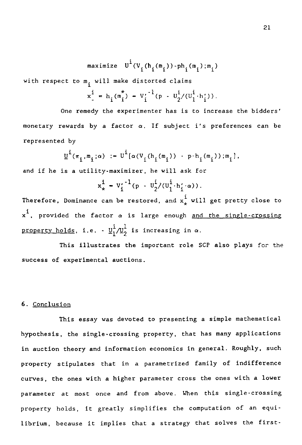$$
\text{maximize } \mathbf{U}^i(\mathbf{V}_i(\mathbf{h}_i(\mathbf{m}_i))\cdot \mathbf{p}\mathbf{h}_i(\mathbf{m}_i);\mathbf{m}_i)
$$

with respect to  $\mathfrak{m}_{\mathbf i}^{\mathbf i}$  will make distorted claims

$$
x^{i} = h_{i}(\mathfrak{m}_{i}^{*}) - V_{i}^{'-1}(p - U_{2}^{i}/(U_{1}^{i} \cdot h_{i}')).
$$

ph<sub>i</sub>(m<br>aims<br> $\frac{i}{2}/(\frac{1}{1})$ <br>is tect One remedy the experimenter has is to increase the bidders' monetary rewards by a factor *a.* If subject i's preferences can be represented by t to  $m_i$  will make distorted claims<br>  $x_i^i = h_i(m_i^*) - V_i'^{-1}(p - U_2^i/(U_1^i \cdot h_i'))$ .<br>
ne remedy the experimenter has is to increase the experimenter has is to increase the experimenter has is to increase the wards by a factor  $\$ a factor  $\alpha$ . If<br>  $\alpha$ ) :=  $U^{\dot{1}}(\alpha (V_{\dot{1}}(h_{\dot{1}})))$ <br>
ty-maximizer, he<br>  $x_{\dot{x}}^{\dot{1}} = V_{\dot{1}}^{\prime -1}(p - U_{\dot{2}}^{\dot{1}})$ <br>
can be restored er ha<br>f sut<br> $i^{(m_i)}$ <br>e wil<br> $i/(U_1^i)$ <br>d, and<br>e end<br>e end<br>e end<br>e end<br>e end<br>e end<br>e end<br>e end<br>e end<br>e end<br>e end<br>e e end<br>e end<br>e e end<br>e e end<br>e e end<br>e e end<br>e e end<br>e e e e end<br>e e e end<br>e e end<br>e e e e e e end e end e en

$$
\underline{v}^{i}(\pi_{i}, \mathbf{m}_{i}; \alpha) := v^{i}[\alpha (v_{i}(\mathbf{h}_{i}(\mathbf{m}_{i})) - p \cdot \mathbf{h}_{i}(\mathbf{m}_{i})) ; \mathbf{m}_{i}],
$$

and if he is a utility-maximizer, he will ask for

$$
x_{\star}^{i} = v_{i}'^{-1}(p - v_{2}'^{i}/(v_{1}^{i} \cdot h_{i}' \cdot \alpha)).
$$

Therefore, Dominance can be restored, and  $\mathsf{x}_\star^*$  will get pretty close to  $x<sup>1</sup>$ , provided the factor  $\alpha$  is large enough and the single-crossing <u>property holds</u>, i.e. -  $\underline{\upsilon}_{1}^{1}/\underline{\upsilon}_{2}^{1}$  is increasing in  $\alpha$ .

This illustrates the important role SCP also plays for the success of experimental auctions.

## 6. Conclusion

This essay was devoted to presenting a simple mathematical hypothesis, the single-crossing property, that has many applications in auction theory and information economics in general. Roughly, such property stipulates that in a parametrized family of indifference curves, the ones with a higher parameter cross the ones with a lower parameter at most once and from above. When this single-crossing property holds, it greatly simplifies the computation of an equilibrium, because it implies that a strategy that solves the first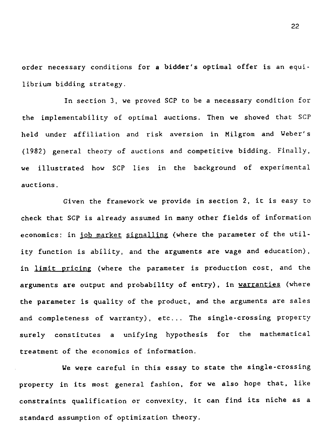order necessary conditions for a bidder's optimal offer is an equilibrium bidding strategy.

In section 3, we proved SCP to be a necessary condition for the implementability of optimal auctions. Then we showed that SCP held under affiliation and risk aversion in Milgrom and Weber's (1982) general theory of auctions and competitive bidding. Finally, we illustrated how SCP lies in the background of experimental auctions.

Given the framework we provide in section 2, it is easy to check that SCP is already assumed in many other fields of information economics: in job market signalling (where the parameter of the utility function is ability, and the arguments are wage and education), in limit pricing (where the parameter is production cost, and the arguments are output and probability of entry), in warranties (where the parameter is quality of the product, and the arguments are sales and completeness of warranty), etc... The single-crossing property surely constitutes a unifying hypothesis for the mathematical treatment of the economics of information.

We were careful in this essay to state the single-crossing property in its most general fashion, for we also hope that, like constraints qualification or convexity, it can find its niche as a standard assumption of optimization theory.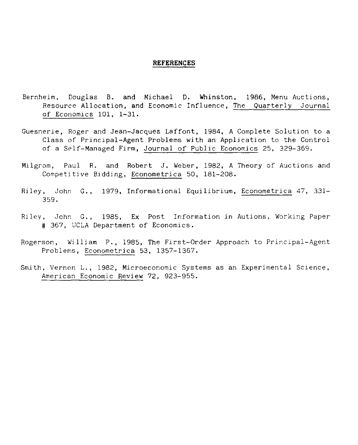#### **REFERENCES**

- Bernheim, Douglas B. and Michael D. Whinston, 1986, Menu Auctions, Resource Allocation, and Economic Influence, The Quarterly Journal of Economics 101, 1-31.
- Guesnerie, Roger and Jean-Jacques Laffont, 1984, A Complete Solution to a Class of Principal-Agent Problems with an Application to the Control of a Self-Managed Firm, Journal of Public Economics 25, 329-369.
- Milgrom, Paul R. and Robert J. Weber, 1982, A Theory of Auctions and Competitive Bidding, Econometrica 50, 181-208.
- Riley, John G., 1979, Informational Equilibrium, Econometrica 47, 331- 359.
- Riley, John G., 1985, Ex Post Information in Autions, Working Paper # 367, UCLA Department of Economics.
- Rogerson, William P., 1985, The First-Order Approach to Principal-Agent Problems, Econometrica 53, 1357-1367.
- Smith, Vernon L., 1982, Microeconomic Systems as an Experimental Science, American Economic Review 72, 923-955.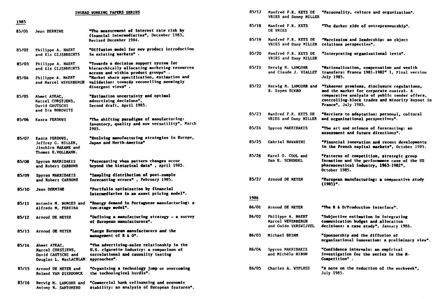| INSEAD VORKING PAPERS SERIES |  |  |
|------------------------------|--|--|
|                              |  |  |

| 1985  |                                                                                          |                                                                                                                                               |
|-------|------------------------------------------------------------------------------------------|-----------------------------------------------------------------------------------------------------------------------------------------------|
| 85/01 | Jean DERMINE                                                                             | "The measurement of interest rate risk by<br>financial intermediaries*, December 1983,<br>Revised December 1984.                              |
| 85/02 | Philippe A. NAERT<br>and Els GIJSBRECHTS                                                 | "Diffusion model for new product introduction<br>in existing markets".                                                                        |
| 85/03 | Philippe A. NAERT<br>and Els GIJSBRECHTS                                                 | "Tovards a decision support system for<br>hierarchically allocating marketing resources<br>across and within product groups".                 |
| 85/04 | Philippe A. NAERT<br>and Marcel VEVERBERGH                                               | "Market share specification, estimation and<br>validation: towards reconciling seemingly<br>divergent views".                                 |
| 85/05 | Ahmet AYKAC,<br>Marcel CORSTJENS.<br>David GAUTSCHI<br>and Ira HOROVITZ                  | "Estimation uncertainty and optimal<br>advertising decisions",<br>Second draft. April 1985.                                                   |
| 85/06 | Kasra FERDOVS                                                                            | "The shifting paradigms of manufacturing:<br>inventory, quality and now versatility", March<br>1985.                                          |
| 85/07 | Kasra FERDOWS,<br>Jeffrey G. MILLER,<br><b>Jinchiro NAKANE and</b><br>Thomas E.VOLLMANN. | "Bvolving manufacturing strategies in Burope,<br>Japan and North-America"                                                                     |
| 85/08 | Spyros MAKRIDAKIS<br>and Robert CARBONE                                                  | "Forecasting when pattern changes occur<br>beyond the historical data", April 1985.                                                           |
| 85/09 | Spyros MAKRIDAKIS<br>and Robert CARBONE                                                  | "Sampling distribution of post-sample<br>forecasting errors", February 1985.                                                                  |
| 85/10 | Jean DERMINE                                                                             | "Portfolio optimization by financial<br>intermediaries in an asset pricing model".                                                            |
| 85/11 | Antonio M. BORGES and<br>Alfredo M. PEREIRA                                              | "Energy demand in Portuguese manufacturing: a<br>tvo-stage model".                                                                            |
| 85/12 | Arnoud DE MEYER                                                                          | "Defining a manufacturing strategy $\sim$ a survey<br>of European manufacturers".                                                             |
| 85/13 | Arnoud DE MEYER                                                                          | "Large European manufacturers and the<br>management of R & D".                                                                                |
| 85/14 | Ahmet AYKAC,<br>Marcel CORSTJENS,<br>David GAUTSCHI and<br>Douglas L. MacLACHLAN         | "The advertising-sales relationship in the<br>U.S. cigarette industry: a comparison of<br>correlational and causality testing<br>approaches". |
| 85/15 | Arnoud DE HEYER and<br>Roland VAN DIERDONCK                                              | "Organizing a technology jump or overcoming<br>the technological hurdle".                                                                     |
| 85/16 | Hervig M. LANGOHR and                                                                    | "Commercial bank refinancing and economic                                                                                                     |

stability: an analysis of European features".

Antony M. SANTOMERO

| 85/17 | Manfred F.R. KETS DE<br>VRIES and Danny MILLER                 | "Personality, culture and organization".                                                                                                                                                                          |
|-------|----------------------------------------------------------------|-------------------------------------------------------------------------------------------------------------------------------------------------------------------------------------------------------------------|
| 85/18 | Manfred F.R. KETS<br>DE VRIES                                  | "The darker side of entrepreneurship".                                                                                                                                                                            |
| 85/19 | Manfred F.R. KETS DE<br>VRIES and Dany MILLER                  | "Narcissism and leadership: an object<br>relations perspective".                                                                                                                                                  |
| 85/20 | Manfred F.R. KETS DE<br>VRIES and Dany MILLER                  | "Interpreting organizational texts".                                                                                                                                                                              |
| 85/21 | Herwig M. LANGOHR<br>and Claude J. VIALLET                     | "Nationalization, compensation and vealth<br>transfers: France 1981-1982* 1, Final version<br>July 1985.                                                                                                          |
| 85/22 | Hervig M. LANGOHR and<br><b>B. Espen ECKBO</b>                 | "Takeover premiums, disclosure regulations,<br>and the market for corporate control. A<br>comparative analysis of public tender offers,<br>controlling-block trades and minority buyout in<br>France", July 1985. |
| 85/23 | Manfred F.R. KETS DE<br>VRIES and Dany MILLER                  | "Barriers to adaptation: personal, cultural<br>and organizational perspectives".                                                                                                                                  |
| 85/24 | Spyros MAKRIDAKIS                                              | "The art and science of forecasting: an<br>assessment and future directions".                                                                                                                                     |
| 85/25 | <b>Gabriel HAWAWINI</b>                                        | "Financial innovation and recent developments<br>in the French capital markets", October 1985.                                                                                                                    |
| 85/26 | Karel O. COOL and<br>Dan E. SCHENDEL                           | "Patterns of competition, strategic group<br>formation and the performance case of the US<br>pharmaceutical industry, 1963-1982",<br>October 1985.                                                                |
| 85/27 | Arnoud DE MEYER                                                | "European manufacturing: a comparative study<br>$(1985)^*$ .                                                                                                                                                      |
| 1986  |                                                                |                                                                                                                                                                                                                   |
| 86/01 | Arnoud DE MEYER                                                | "The R & D/Production interface".                                                                                                                                                                                 |
| 86/02 | Philippe A. NAERT<br>Marcel WEVERBERGH<br>and Guido VERSVIJVEL | "Subjective estimation in integrating<br>communication budget and allocation<br>decisions: a case study", January 1986.                                                                                           |
| 86/03 | Michael BRIMM                                                  | "Sponsorship and the diffusion of<br>organizational innovation: a preliminary view".                                                                                                                              |
| 86/04 | Spyros MAKRIDAKIS<br>and Michèle HIBON                         | "Confidence intervals: an empirical<br>investigation for the series in the M-<br>Competition".                                                                                                                    |
| 86/05 | <b>Charles A. WYPLOSZ</b>                                      | "A note on the reduction of the vorkveek",<br>July 1985.                                                                                                                                                          |
|       |                                                                |                                                                                                                                                                                                                   |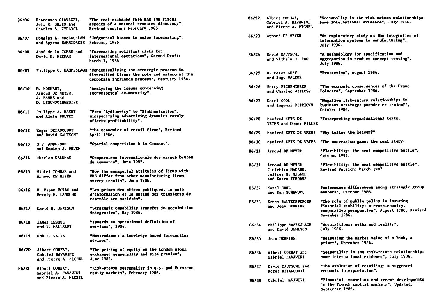| 86/06 | Francesco GIAVAZZI,<br>Jeff R. SHEEN and<br>Charles A. WYPLOSZ         | "The real exchange rate and the fiscal<br>aspects of a natural resource discovery",<br>Revised version: February 1986.                                            |
|-------|------------------------------------------------------------------------|-------------------------------------------------------------------------------------------------------------------------------------------------------------------|
| 86/07 | Douglas L. MacLACHLAN<br>and Spyros MAKRIDAKIS                         | "Judgmental biases in sales forecasting",<br>February 1986.                                                                                                       |
| 86/08 | José de la TORRE and<br>David H. NECKAR                                | "Porecasting political risks for<br>international operations", Second Draft:<br>March 3. 1986.                                                                    |
| 86/09 |                                                                        | Philippe C. HASPESLAGH "Conceptualizing the strategic process in<br>diversified firms: the role and nature of the<br>corporate influence process", February 1986. |
| 86/10 | R. MOENART,<br>Arnoud DE MEYER,<br>J. BARBE and<br>D. DESCHOOLMEESTER. | "Analysing the issues concerning<br>technological de-maturity".                                                                                                   |
| 86/11 | Philippe A. NAERT<br>and Alain BULTEZ                                  | "Prom "Lydiametry" to "Pinkhamization":<br>misspecifying advertising dynamics rarely<br>affects profitability".                                                   |
| 86/12 | Roger BETANCOURT<br>and David GAUTSCHI                                 | "The economics of retail firms", Revised<br>April 1986.                                                                                                           |
| 86/13 | S.P. ANDERSON<br>and Damien J. NEVEN                                   | "Spatial competition à la Cournot".                                                                                                                               |
| 86/14 | <b>Charles VALDMAN</b>                                                 | "Comparaison internationale des marges brutes<br>du commerce", June 1985.                                                                                         |
| 86/15 | Mihkel TOMBAK and<br>Arnoud DE MEYER                                   | "How the managerial attitudes of firms with<br>FMS differ from other manufacturing firms:<br>survey results", June 1986.                                          |
| 86/16 | <b>B.</b> Espen ECKBO and<br>Herwig M. LANGOHR                         | "Les primes des offres publiques, la note<br>d'information et le marché des transferts de<br>contrôle des sociétés".                                              |
| 86/17 | David B. JEMISON                                                       | "Strategic capability transfer in acquisition<br>integration", May 1986.                                                                                          |
| 86/18 | James TEBOUL<br>and V. MALLERET                                        | "Towards an operational definition of<br>services", 1986.                                                                                                         |
| 86/19 | Rob R. WEITZ                                                           | "Nostradamus: a knovledge-based forecasting<br>advisor".                                                                                                          |
| 86/20 | Albert CORHAY,<br><b>Gabriel HAVAVINI</b><br>and Pierre A. MICHEL      | "The pricing of equity on the London stock<br>exchange: seasonality and size premium",<br>June 1986.                                                              |
| 86/21 | Albert CORHAY,<br>Gabriel A. HAWAWINI<br>and Pierre A. MICHEL          | "Risk-premia seasonality in U.S. and European<br>equity markets", February 1986.                                                                                  |

| 86/22 | Albert CORHAY,<br><b>Gabriel A. HAVAVINI</b><br>and Pierre A. MICHEL            | "Seasonality in the risk-return relationships<br>some international evidence", July 1986.                                                           |
|-------|---------------------------------------------------------------------------------|-----------------------------------------------------------------------------------------------------------------------------------------------------|
| 86/23 | Arnoud DE MEYER                                                                 | "An exploratory study on the integration of<br>information systems in manufacturing",<br>July 1986.                                                 |
| 86/24 | David GAUTSCHI<br>and Vithala R. RAO                                            | "A methodology for specification and<br>aggregation in product concept testing",<br>July 1986.                                                      |
| 86/25 | <b>H. Peter GRAY</b><br>and Ingo VALTER                                         | "Protection", August 1986.                                                                                                                          |
| 86/26 | <b>Barry EICHENGREEN</b><br>and Charles WYPLOSZ                                 | "The economic consequences of the Franc<br>Poincare", September 1986.                                                                               |
| 86/27 | Karel COOL<br>and Ingemar DIERICKX                                              | "Negative risk-return relationships in<br>business strategy: paradox or truism?",<br>October 1986.                                                  |
| 86/28 | Manfred KETS DE<br>VRIES and Danny MILLER                                       | "Interpreting organizational texts.                                                                                                                 |
| 86/29 | <b>Manfred KETS DE VRIES</b>                                                    | "Vhy follow the leader?".                                                                                                                           |
| 86/30 | Manfred KETS DE VRIES                                                           | "The succession game: the real story.                                                                                                               |
| 86/31 | Arnoud DE MEYER                                                                 | "Plexibility: the next competitive battle",<br>October 1986.                                                                                        |
| 86/31 | Arnoud DE MEYER,<br>Jinichiro NAKANE,<br>Jeffrey G. MILLER<br>and Kasra FERDOVS | "Flexibility: the next competitive battle",<br><b>Revised Version: March 1987</b>                                                                   |
| 86/32 | Karel COOL<br>and Dan SCHENDEL                                                  | Performance differences among strategic group<br>members". October 1986.                                                                            |
| 86/33 | Ernst BALTENSPERGER<br>and Jean DERMINE                                         | "The role of public policy in insuring<br>financial stability: a cross-country,<br>comparative perspective", August 1986, Revised<br>November 1986. |
| 86/34 | Philippe HASPESLAGH<br>and David JEMISON                                        | "Acquisitions: myths and reality",<br>July 1986.                                                                                                    |
| 86/35 | <b>Jean DERMINE</b>                                                             | "Measuring the market value of a bank, a<br>primer", November 1986.                                                                                 |
| 86/36 | Albert CORHAY and<br><b>Gabriel HAVAVINI</b>                                    | "Seasonality in the risk-return relationship:<br>some international evidence", July 1986.                                                           |
| 86/37 | David GAUTSCHI and<br>Roger BETANCOURT                                          | "The evolution of retailing: a suggested<br>economic interpretation".                                                                               |
| 86/38 | Gabriel HAVAVINI                                                                | "Financial innovation and recent developments<br>in the French capital markets", Updated:                                                           |

September 1986.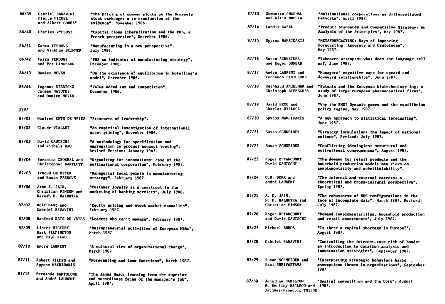| 86/39 | <b>Gabriel HAVAVINI</b><br><b>Pierre MICHEL</b><br>and Albert CORHAY | "The pricing of common stocks on the Brussels<br>stock exchange: a re-examination of the<br>evidence", November 1986. |
|-------|----------------------------------------------------------------------|-----------------------------------------------------------------------------------------------------------------------|
| 86/40 | Charles VYPLOSZ                                                      | "Capital flows liberalization and the EMS, a<br><b>French perspective", December 1986.</b>                            |
| 86/41 | Kasra FERDOVS<br>and Wickham SKINNER                                 | "Manufacturing in a new perspective",<br>July 1986.                                                                   |
| 86/42 | <b>Kasra FERDOWS</b><br>and Per LINDBERG                             | "PMS as indicator of manufacturing strategy",<br>December 1986.                                                       |
| 86/43 | Damien NEVEN                                                         | "On the existence of equilibrium in hotelling's<br>model", November 1986.                                             |
| 86/44 | Ingemar DIERICKX<br>Carmen MATUTES<br>and Damien NEVEN               | "Value added tax and competition",<br>December 1986.                                                                  |
| 1987  |                                                                      |                                                                                                                       |
| 87/01 |                                                                      | Manfred KETS DE VRIES "Prisoners of leadership".                                                                      |
| 87/02 | Claude VIALLET                                                       | "An empirical investigation of international<br>asset pricing", November 1986.                                        |
| 87/03 | David GAUTSCHI<br>and Vithala RAO                                    | "A methodology for specification and<br>aggregation in product concept testing",<br>Revised Version: January 1987.    |
| 87/04 | Sumantra GHOSHAL and<br>Christopher BARTLETT                         | "Organizing for innovations: case of the<br>sultinational corporation", February 1987.                                |
| 87/05 | Arnoud DE MEYER<br>and Kasra FERDOVS                                 | "Managerial focal points in manufacturing<br>strategy", February 1987.                                                |
| 87/06 | Arun K. JAIN,<br>Christian PINSON and<br>Naresh K. MALHOTRA          | "Customer loyalty as a construct in the<br>marketing of banking services", July 1986.                                 |
| 87/07 | Rolf BANZ and<br>Gabriel HAWAWINI                                    | "Equity pricing and stock market anomalies",<br>February 1987.                                                        |
| 87/08 | Manfred KETS DE VRIES                                                | "Leaders who can't manage", February 1987.                                                                            |
| 87/09 | Lister VICKERY.<br>Mark PILKINGTON<br>and Paul READ                  | "Entrepreneurial activities of European MBAs",<br>March 1987.                                                         |
| 87/10 | André LAURENT                                                        | "A cultural view of organizational change",<br><b>March 1987</b>                                                      |
| 87/11 | Robert FILDES and<br>Spyros MAKRIDAKIS                               | "Porecasting and loss functions", March 1987.                                                                         |
| 87/12 | Fernando BARTOLOME<br>and André LAURENT                              | "The Janus Head: learning from the superior<br>and subordinate faces of the manager's job",<br>April 1987.            |

| 87/13 | <b>Sumantra GHOSHAL</b><br>and Nitin NOHRIA                                   | "Multinational corporations as differentiated<br>netvorks", April 1987.                                                                |
|-------|-------------------------------------------------------------------------------|----------------------------------------------------------------------------------------------------------------------------------------|
| 87/14 | Landis GABEL                                                                  | "Product Standards and Competitive Strategy: An<br>Analysis of the Principles", May 1987.                                              |
| 87/15 | <b>Spyros MAKRIDAKIS</b>                                                      | "METAPORECASTING: Vays of improving<br>Porecasting. Accuracy and Usefulness*,<br>May 1987.                                             |
| 87/16 | Susan SCHNEIDER<br>and Roger DUNBAR                                           | "Takeover attempts: what does the language tell<br>us?, June 1987.                                                                     |
| 87/17 | André LAURENT and<br>Fernando BARTOLOME                                       | "Managers' cognitive maps for upvard and<br>downward relationships", June 1987.                                                        |
| 87/18 | Reinhard ANGELMAR and<br>Christoph LIEBSCHER                                  | "Patents and the European biotechnology lag: a<br>study of large European pharmaceutical firms",<br>June 1987.                         |
| 87/19 | David BEGG and<br>Charles WYPLOSZ                                             | "Vhy the EMS? Dynamic games and the equilibrium<br>policy regime, May 1987.                                                            |
| 87/20 | Spyros MAKRIDAKIS                                                             | "A new approach to statistical forecasting",<br>June 1987.                                                                             |
| 87/21 | Susan SCHNEIDER                                                               | "Strategy formulation: the impact of national<br>culture", Revised: July 1987.                                                         |
| 87/22 | Susan SCHNEIDER                                                               | "Conflicting ideologies: structural and<br>motivational consequences", August 1987.                                                    |
| 87/23 | <b>Roger BETANCOURT</b><br>David GAUTSCHI                                     | "The demand for retail products and the<br>household production model: new views on<br>complementarity and substitutability".          |
| 87/24 | C.B. DERR and<br>André LAURENT                                                | "The internal and external careers: a<br>theoretical and cross-cultural perspective",<br><b>Spring 1987.</b>                           |
| 87/25 | A. K. JAIN,<br>N. K. MALHOTRA and<br>Christian PINSON                         | "The robustness of MDS configurations in the<br>face of incomplete data", March 1987, Revised:<br><b>July 1987.</b>                    |
| 87/26 | Roger BETANCOURT<br>and David GAUTSCHI                                        | "Demand complementarities, household production<br>and retail assortments", July 1987.                                                 |
| B7/27 | Michael BURDA                                                                 | "Is there a capital shortage in Europe?",<br>August 1987.                                                                              |
| 87/28 | <b>Gabriel HAVAVINI</b>                                                       | "Controlling the interest-rate risk of bonds:<br>an introduction to duration analysis and<br>immunization strategies", September 1987. |
| 87/29 | Susan SCHNEIDER and<br><b>Paul SHRIVASTAVA</b>                                | "Interpreting strategic behavior: basic<br>assumptions themes in organizations", September<br>1987                                     |
| 87/30 | Jonathan HAMILTON<br><b>W. Bentley MACLEOD and</b><br>Jacques-François THISSE | "Spatial competition and the Core", August<br>1987.                                                                                    |